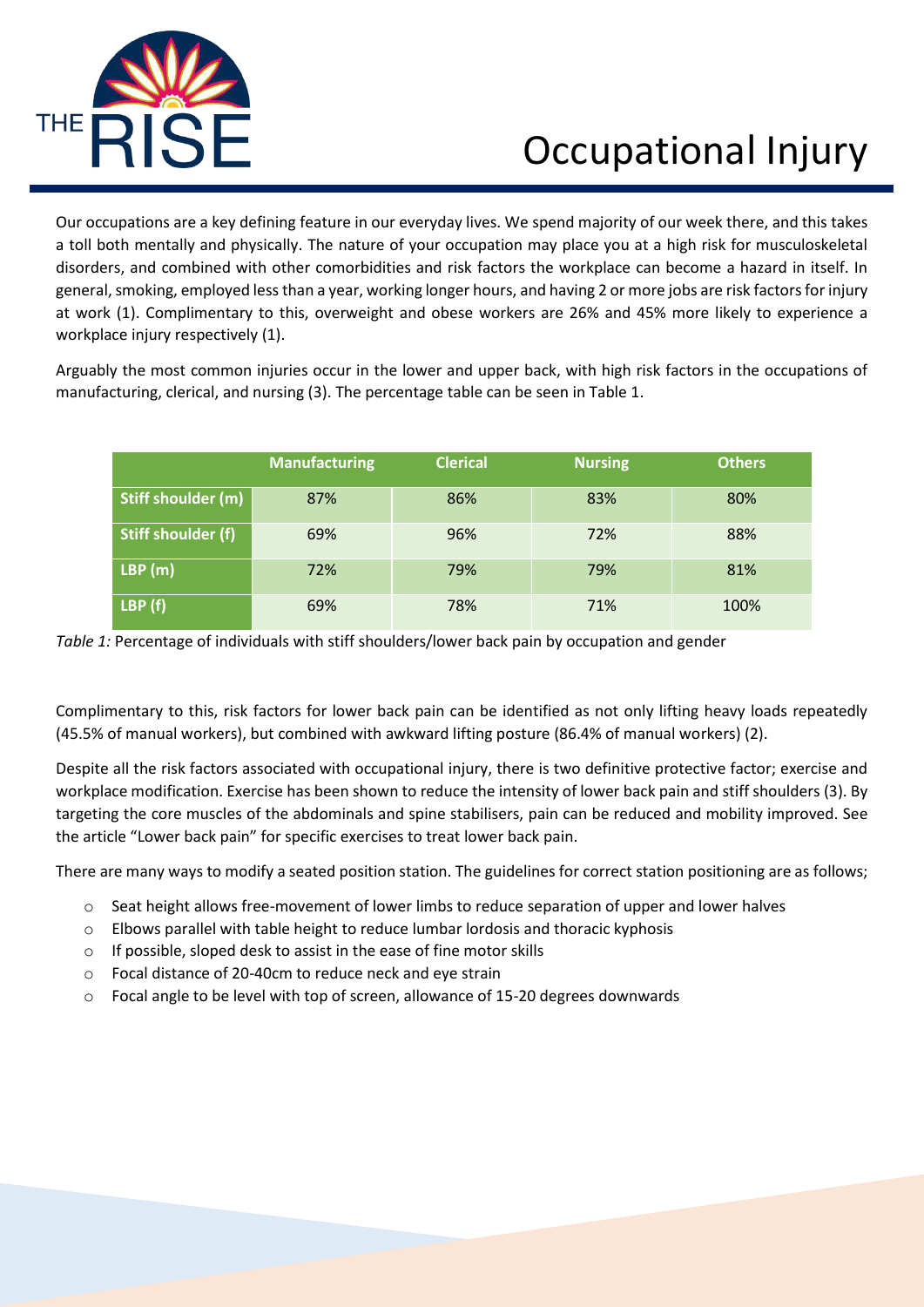

## Occupational Injury

Our occupations are a key defining feature in our everyday lives. We spend majority of our week there, and this takes a toll both mentally and physically. The nature of your occupation may place you at a high risk for musculoskeletal disorders, and combined with other comorbidities and risk factors the workplace can become a hazard in itself. In general, smoking, employed less than a year, working longer hours, and having 2 or more jobs are risk factors for injury at work (1). Complimentary to this, overweight and obese workers are 26% and 45% more likely to experience a workplace injury respectively (1).

Arguably the most common injuries occur in the lower and upper back, with high risk factors in the occupations of manufacturing, clerical, and nursing (3). The percentage table can be seen in Table 1.

|                    | <b>Manufacturing</b> | <b>Clerical</b> | <b>Nursing</b> | <b>Others</b> |
|--------------------|----------------------|-----------------|----------------|---------------|
| Stiff shoulder (m) | 87%                  | 86%             | 83%            | 80%           |
| Stiff shoulder (f) | 69%                  | 96%             | 72%            | 88%           |
| LBP(m)             | 72%                  | 79%             | 79%            | 81%           |
| LBP(f)             | 69%                  | 78%             | 71%            | 100%          |



Complimentary to this, risk factors for lower back pain can be identified as not only lifting heavy loads repeatedly (45.5% of manual workers), but combined with awkward lifting posture (86.4% of manual workers) (2).

Despite all the risk factors associated with occupational injury, there is two definitive protective factor; exercise and workplace modification. Exercise has been shown to reduce the intensity of lower back pain and stiff shoulders (3). By targeting the core muscles of the abdominals and spine stabilisers, pain can be reduced and mobility improved. See the article "Lower back pain" for specific exercises to treat lower back pain.

There are many ways to modify a seated position station. The guidelines for correct station positioning are as follows;

- $\circ$  Seat height allows free-movement of lower limbs to reduce separation of upper and lower halves
- $\circ$  Elbows parallel with table height to reduce lumbar lordosis and thoracic kyphosis
- o If possible, sloped desk to assist in the ease of fine motor skills
- o Focal distance of 20-40cm to reduce neck and eye strain
- $\circ$  Focal angle to be level with top of screen, allowance of 15-20 degrees downwards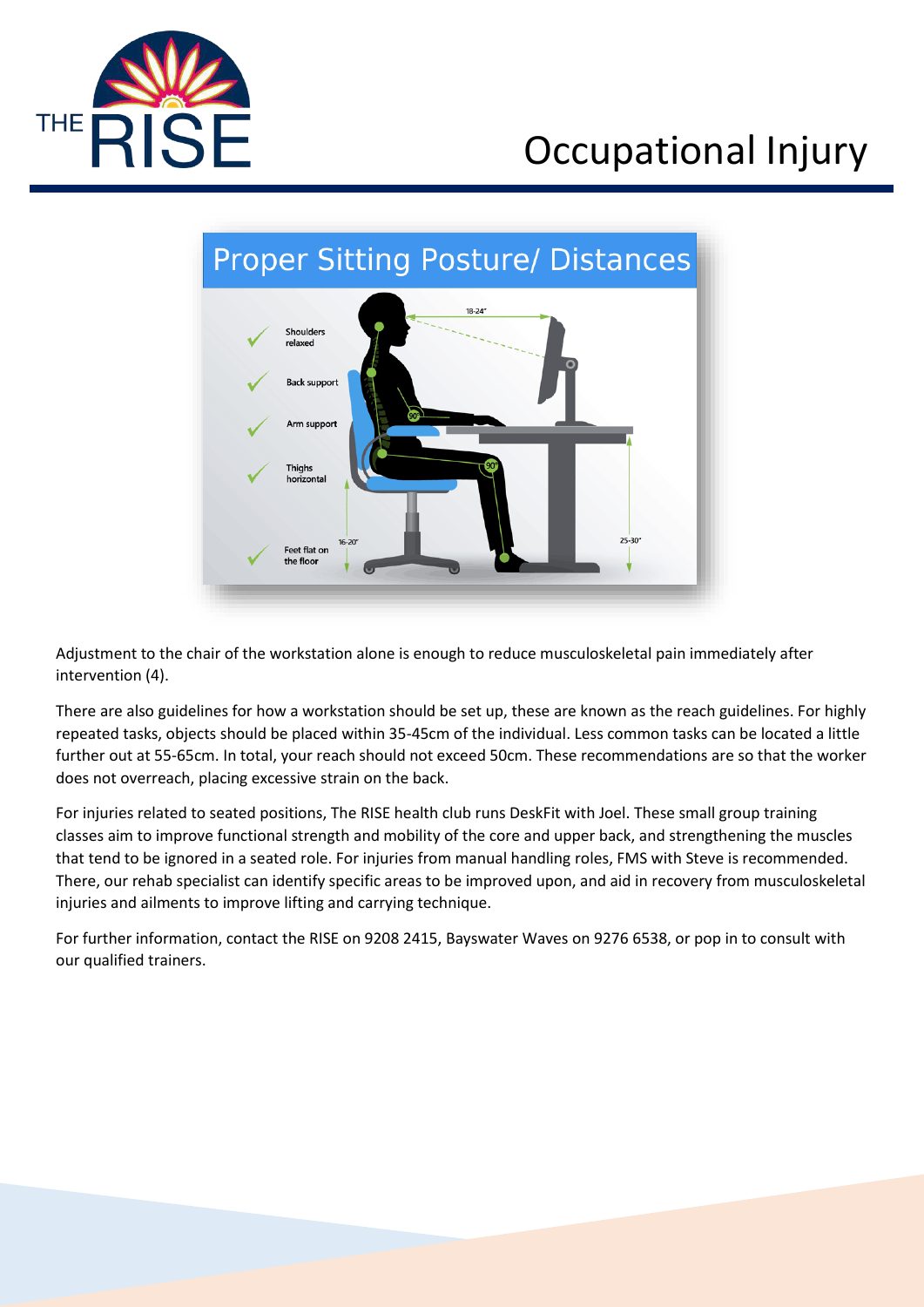

## Occupational Injury



Adjustment to the chair of the workstation alone is enough to reduce musculoskeletal pain immediately after intervention (4).

There are also guidelines for how a workstation should be set up, these are known as the reach guidelines. For highly repeated tasks, objects should be placed within 35-45cm of the individual. Less common tasks can be located a little further out at 55-65cm. In total, your reach should not exceed 50cm. These recommendations are so that the worker does not overreach, placing excessive strain on the back.

For injuries related to seated positions, The RISE health club runs DeskFit with Joel. These small group training classes aim to improve functional strength and mobility of the core and upper back, and strengthening the muscles that tend to be ignored in a seated role. For injuries from manual handling roles, FMS with Steve is recommended. There, our rehab specialist can identify specific areas to be improved upon, and aid in recovery from musculoskeletal injuries and ailments to improve lifting and carrying technique.

For further information, contact the RISE on 9208 2415, Bayswater Waves on 9276 6538, or pop in to consult with our qualified trainers.